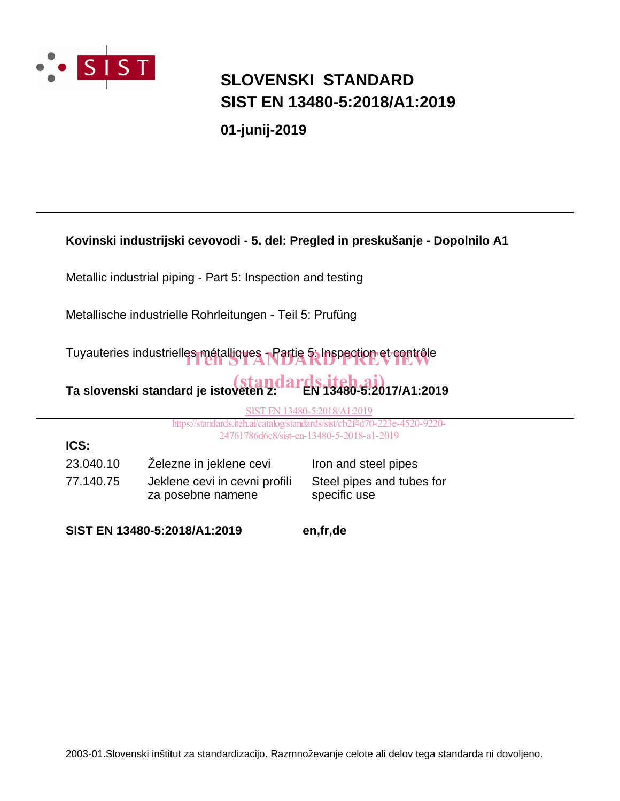

**ICS:**

# **SLOVENSKI STANDARD SIST EN 13480-5:2018/A1:2019**

**01-junij-2019**

#### **Kovinski industrijski cevovodi - 5. del: Pregled in preskušanje - Dopolnilo A1**

Metallic industrial piping - Part 5: Inspection and testing

Metallische industrielle Rohrleitungen - Teil 5: Prufüng

Tuyauteries industrielles métalliques - Partie 5: Inspection et contrôle

# Ta slovenski standard je istoveten z: **EN 13480-5:2017/A1:2019**

SIST EN 13480-5:2018/A1:2019

https://standards.iteh.ai/catalog/standards/sist/cb2f4d70-223e-4520-9220- 24761786d6c8/sist-en-13480-5-2018-a1-2019

23.040.10 Železne in jeklene cevi lron and steel pipes 77.140.75 Jeklene cevi in cevni profili za posebne namene

Steel pipes and tubes for specific use

**SIST EN 13480-5:2018/A1:2019 en,fr,de**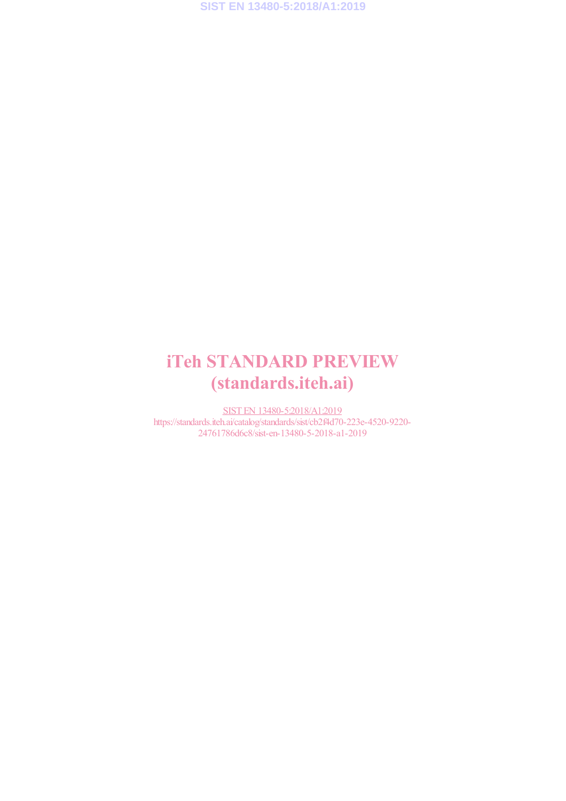# iTeh STANDARD PREVIEW (standards.iteh.ai)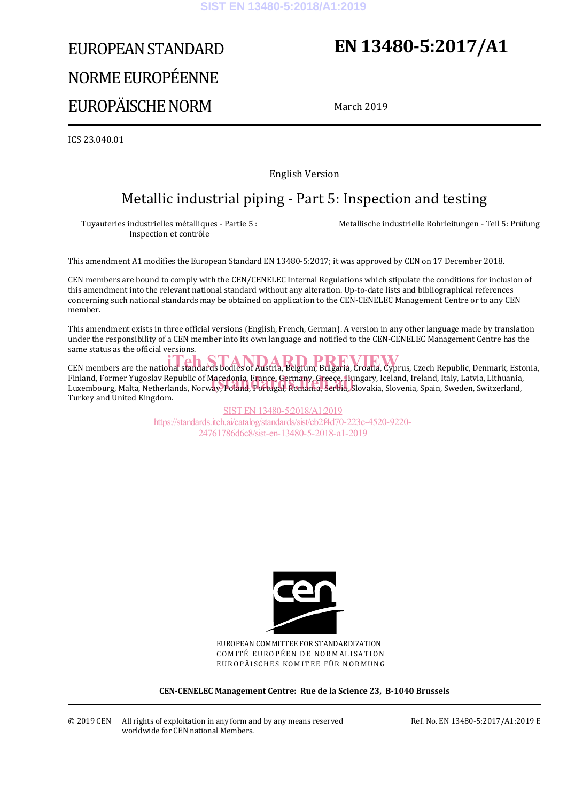# EUROPEAN STANDARD NORME EUROPÉENNE EUROPÄISCHE NORM

# **EN 13480-5:2017/A1**

March 2019

ICS 23.040.01

English Version

## Metallic industrial piping - Part 5: Inspection and testing

Tuyauteries industrielles métalliques - Partie 5 : Inspection et contrôle

Metallische industrielle Rohrleitungen - Teil 5: Prüfung

This amendment A1 modifies the European Standard EN 13480-5:2017; it was approved by CEN on 17 December 2018.

CEN members are bound to comply with the CEN/CENELEC Internal Regulations which stipulate the conditions for inclusion of this amendment into the relevant national standard without any alteration. Up-to-date lists and bibliographical references concerning such national standards may be obtained on application to the CEN-CENELEC Management Centre or to any CEN member.

This amendment exists in three official versions (English, French, German). A version in any other language made by translation under the responsibility of a CEN member into its own language and notified to the CEN-CENELEC Management Centre has the same status as the official versions.

CEN members are the national standards bodies of Austria, Belgium, Bulgaria, Croatia, Cyprus, Czech Republic, Denmark, Estonia, Finland, Former Yugoslav Republic of Macedonia, France, Germany, Greece, Hungary, Iceland, Ireland, Italy, Latvia, Lithuania,<br>Luxembourg, Malta, Netherlands, Norway<del>,</del> Poland, Portugal, Romania, Serbia, Slovakia, Slovenia, Luxembourg, Malta, Netherlands, Norway, Poland, Portugal, Romania, Serbia, Slovakia, Slovenia, Spain, Sweden, Switzerland, Turkey and United Kingdom.

> SIST EN 13480-5:2018/A1:2019 https://standards.iteh.ai/catalog/standards/sist/cb2f4d70-223e-4520-9220- 24761786d6c8/sist-en-13480-5-2018-a1-2019



EUROPEAN COMMITTEE FOR STANDARDIZATION COMITÉ EUROPÉEN DE NORMALISATION EUROPÄISCHES KOMITEE FÜR NORMUNG

**CEN-CENELEC Management Centre: Rue de la Science 23, B-1040 Brussels** 

© 2019 CEN All rights of exploitation in any form and by any means reserved worldwide for CEN national Members.

Ref. No. EN 13480-5:2017/A1:2019 E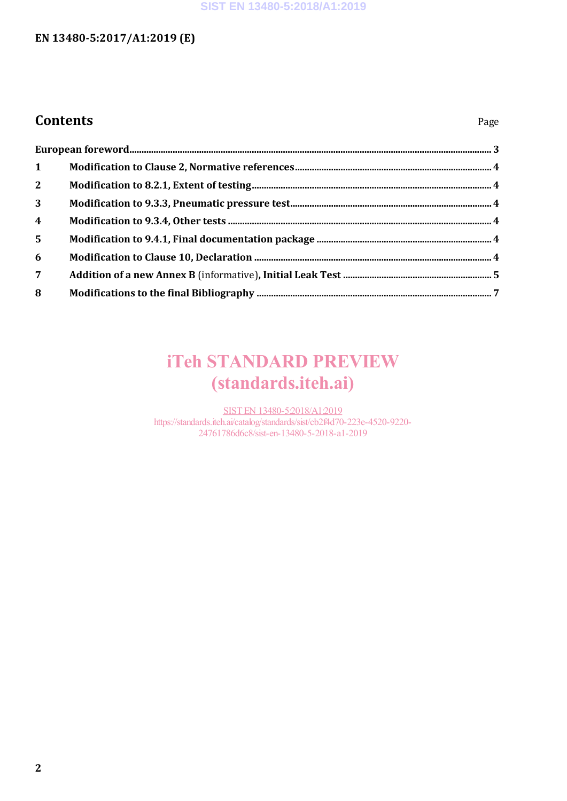#### **SIST EN 13480-5:2018/A1:2019**

#### **EN 13480-5:2017/A1:2019 (E)**

## **Contents** Page

| 1                       |  |
|-------------------------|--|
| $2^{\circ}$             |  |
| 3 <sup>1</sup>          |  |
| $\overline{\mathbf{4}}$ |  |
| 5 <sup>1</sup>          |  |
| 6                       |  |
| 7 <sup>7</sup>          |  |
| 8                       |  |

# iTeh STANDARD PREVIEW (standards.iteh.ai)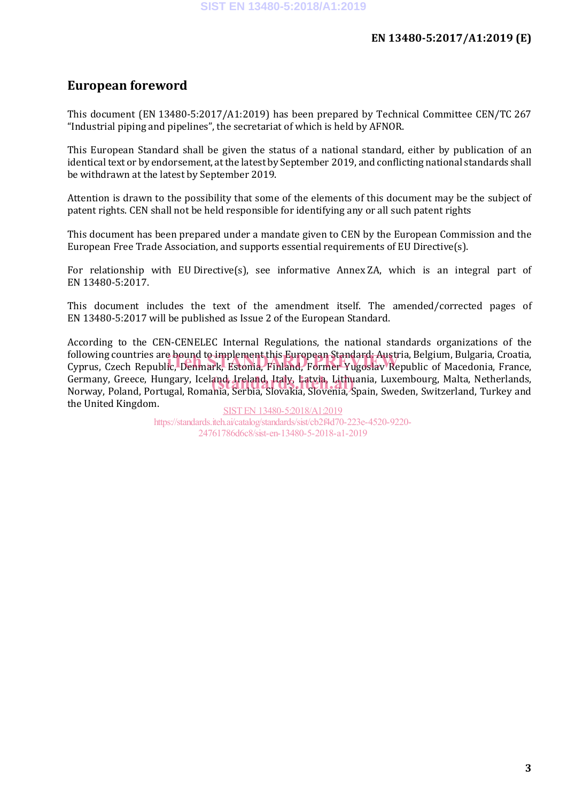#### **EN 13480-5:2017/A1:2019 (E)**

### **European foreword**

This document (EN 13480-5:2017/A1:2019) has been prepared by Technical Committee CEN/TC 267 "Industrial piping and pipelines", the secretariat of which is held by AFNOR.

This European Standard shall be given the status of a national standard, either by publication of an identical text or by endorsement, at the latest by September 2019, and conflicting national standards shall be withdrawn at the latest by September 2019.

Attention is drawn to the possibility that some of the elements of this document may be the subject of patent rights. CEN shall not be held responsible for identifying any or all such patent rights

This document has been prepared under a mandate given to CEN by the European Commission and the European Free Trade Association, and supports essential requirements of EU Directive(s).

For relationship with EU Directive(s), see informative Annex ZA, which is an integral part of EN 13480-5:2017.

This document includes the text of the amendment itself. The amended/corrected pages of EN 13480-5:2017 will be published as Issue 2 of the European Standard.

According to the CEN-CENELEC Internal Regulations, the national standards organizations of the following countries are bound to implement this European Standard: Austria, Belgium, Bulgaria, Croatia, following countries are bound to implement this European Standard: Austria, Belgium, Bulgaria, Croatia,<br>Cyprus, Czech Republic, Denmark, Estonia, Finland, Former Yugoslav Republic of Macedonia, France, Germany, Greece, Hungary, Iceland, Ireland, Italy, Latvia, Lithuania, Luxembourg, Malta, Netherlands,<br>Norway, Poland, Portugal, Romania, Serbia, Slovakia, Slovenia, Spain, Sweden, Switzerland, Turkey and Norway, Poland, Portugal, Romania, Serbia, Slovakia, Slovenia, Spain, Sweden, Switzerland, Turkey and the United Kingdom.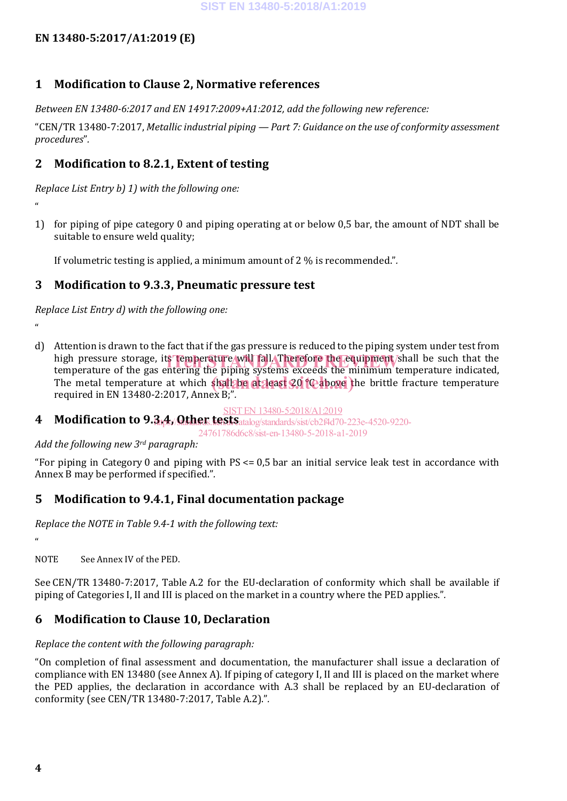#### **EN 13480-5:2017/A1:2019 (E)**

#### **1 Modification to Clause 2, Normative references**

*Between EN 13480‐6:2017 and EN 14917:2009+A1:2012, add the following new reference:*

"CEN/TR 13480-7:2017, *Metallic industrial piping — Part 7: Guidance on the use of conformity assessment procedures*"*.*

#### **2 Modification to 8.2.1, Extent of testing**

*Replace List Entry b) 1) with the following one:*

- "
- 1) for piping of pipe category 0 and piping operating at or below 0,5 bar, the amount of NDT shall be suitable to ensure weld quality;

If volumetric testing is applied, a minimum amount of 2 % is recommended."*.*

#### **3 Modification to 9.3.3, Pneumatic pressure test**

*Replace List Entry d) with the following one:*

"

- d) Attention is drawn to the fact that if the gas pressure is reduced to the piping system under test from high pressure storage, its temperature will fall. Therefore the equipment shall be such that the temperature indicated temperature of the gas entering the piping systems exceeds the minimum temperature indicated, The metal temperature at which shall be at least 20 °C above the brittle fracture temperature required in EN 13480-2:2017, Annex B;"*.*
- **4 Modification to 9.3.4, Qther tests** at a log standards/sist/cb2f4d70-223e-4520-9220-SIST EN 13480-5:2018/A1:2019

24761786d6c8/sist-en-13480-5-2018-a1-2019

*Add the following new 3rd paragraph:*

"For piping in Category 0 and piping with PS <= 0,5 bar an initial service leak test in accordance with Annex B may be performed if specified."*.*

#### **5 Modification to 9.4.1, Final documentation package**

*Replace the NOTE in Table 9.4-1 with the following text:*

"

NOTE See Annex IV of the PED.

See CEN/TR 13480-7:2017, Table A.2 for the EU-declaration of conformity which shall be available if piping of Categories I, II and III is placed on the market in a country where the PED applies."*.*

### **6 Modification to Clause 10, Declaration**

*Replace the content with the following paragraph:*

"On completion of final assessment and documentation, the manufacturer shall issue a declaration of compliance with EN 13480 (see Annex A). If piping of category I, II and III is placed on the market where the PED applies, the declaration in accordance with A.3 shall be replaced by an EU-declaration of conformity (see CEN/TR 13480-7:2017, Table A.2)."*.*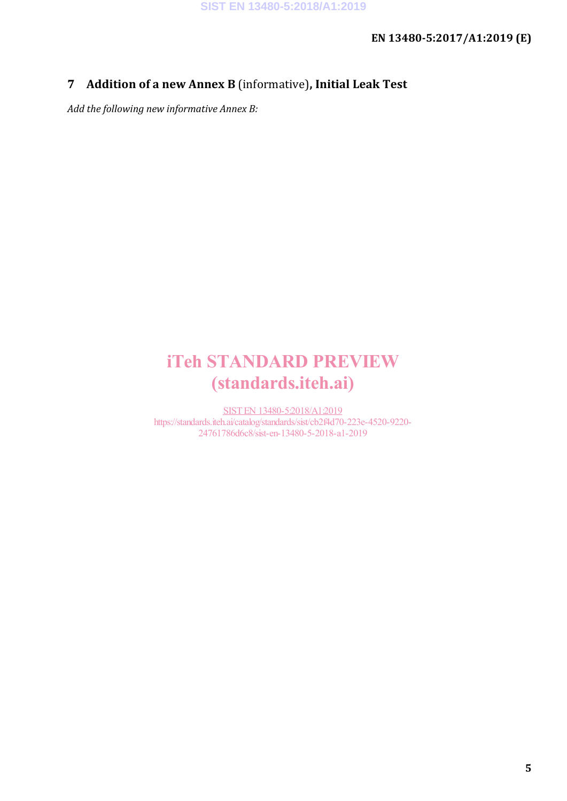### **7 Addition of a new Annex B** (informative)**, Initial Leak Test**

*Add the following new informative Annex B:*

# iTeh STANDARD PREVIEW (standards.iteh.ai)